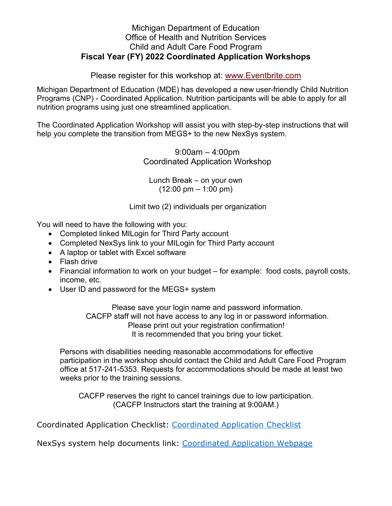## Michigan Department of Education Office of Health and Nutrition Services Child and Adult Care Food Program **Fiscal Year (FY) 2022 Coordinated Application Workshops**

Please register for this workshop at: [www.Eventbrite.com](http://www.eventbrite.com/)

Michigan Department of Education (MDE) has developed a new user-friendly Child Nutrition Programs (CNP) - Coordinated Application. Nutrition participants will be able to apply for all nutrition programs using just one streamlined application.

The Coordinated Application Workshop will assist you with step-by-step instructions that will help you complete the transition from MEGS+ to the new NexSys system.

> 9:00am – 4:00pm Coordinated Application Workshop

Lunch Break – on your own  $(12:00 \text{ pm} - 1:00 \text{ pm})$ 

Limit two (2) individuals per organization

You will need to have the following with you:

- Completed linked MILogin for Third Party account
- Completed NexSys link to your MILogin for Third Party account
- A laptop or tablet with Excel software
- Flash drive
- Financial information to work on your budget for example: food costs, payroll costs, income, etc.
- User ID and password for the MEGS+ system

Please save your login name and password information. CACFP staff will not have access to any log in or password information. Please print out your registration confirmation! It is recommended that you bring your ticket.

Persons with disabilities needing reasonable accommodations for effective participation in the workshop should contact the Child and Adult Care Food Program office at 517-241-5353. Requests for accommodations should be made at least two weeks prior to the training sessions.

CACFP reserves the right to cancel trainings due to low participation. (CACFP Instructors start the training at 9:00AM.)

Coordinated Application Checklist: [Coordinated Application Checklist](https://gcc02.safelinks.protection.outlook.com/?url=https%3A%2F%2Fwww.michigan.gov%2Fmde%2F-%2Fmedia%2FProject%2FWebsites%2Fmde%2FFood-and-Nutrition-Programs%2FChild-Nutrition-Program-System-Help-Documents%2FNexSys-Application-Checklist.pdf%3Frev%3De54261f6de5b48e286326381dc2dae30%26hash%3D1F4C31D29E165E966F42974EF13468ED&data=05%7C01%7CGalbaviT%40michigan.gov%7Cb2305ad33f334d06b0fd08da3daf8867%7Cd5fb7087377742ad966a892ef47225d1%7C0%7C0%7C637890121352531625%7CUnknown%7CTWFpbGZsb3d8eyJWIjoiMC4wLjAwMDAiLCJQIjoiV2luMzIiLCJBTiI6Ik1haWwiLCJXVCI6Mn0%3D%7C3000%7C%7C%7C&sdata=lLiPywZdTMCE%2F4nP1rSIwdWDzR7BWEl69SXhIecrnBM%3D&reserved=0) 

NexSys system help documents link: [Coordinated Application Webpage](https://gcc02.safelinks.protection.outlook.com/?url=https%3A%2F%2Fwww.michigan.gov%2Fmde%2Fservices%2Ffood%2Fchild-nutrition-program-system-help-documents%2Fcoordinated-application&data=05%7C01%7CGalbaviT%40michigan.gov%7Cb2305ad33f334d06b0fd08da3daf8867%7Cd5fb7087377742ad966a892ef47225d1%7C0%7C0%7C637890121352531625%7CUnknown%7CTWFpbGZsb3d8eyJWIjoiMC4wLjAwMDAiLCJQIjoiV2luMzIiLCJBTiI6Ik1haWwiLCJXVCI6Mn0%3D%7C3000%7C%7C%7C&sdata=tLHMmJ0i7jaOqWeg%2F8seO47CpCraUDQrm0u60FAJIv4%3D&reserved=0)